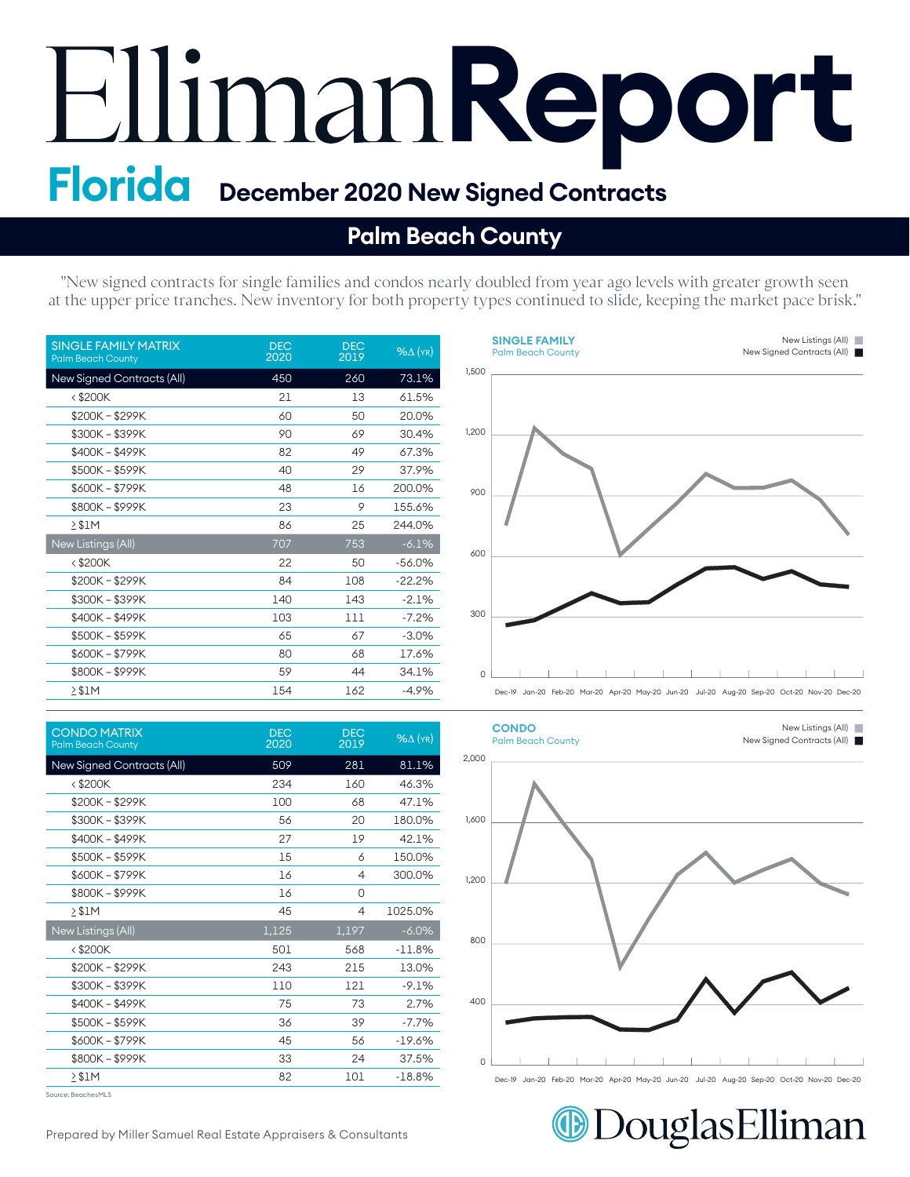# Elliman **Report**

#### **Palm Beach County**

"New signed contracts for single families and condos nearly doubled from year ago levels with greater growth seen at the upper price tranches. New inventory for both property types continued to slide, keeping the market pace brisk."

> **SINGLE FAMILY SINGLE FAMILY** Palm Beach County Palm Beach County

| <b>SINGLE FAMILY MATRIX</b><br><b>Palm Beach County</b> | <b>DEC</b><br>2020 | <b>DEC</b><br>2019 | $%$ $\Delta$ (YR) |
|---------------------------------------------------------|--------------------|--------------------|-------------------|
| <b>New Signed Contracts (All)</b>                       | 450                | 260                | 73.1%             |
| $<$ \$200 $K$                                           | 21                 | 13                 | 61.5%             |
| \$200K-\$299K                                           | 60                 | 50                 | 20.0%             |
| \$300K - \$399K                                         | 90                 | 69                 | 30.4%             |
| \$400K-\$499K                                           | 82                 | 49                 | 67.3%             |
| \$500K - \$599K                                         | 40                 | 29                 | 37.9%             |
| \$600K-\$799K                                           | 48                 | 16                 | 200.0%            |
| \$800K-\$999K                                           | 23                 | 9                  | 155.6%            |
| > \$1M                                                  | 86                 | 25                 | 244.0%            |
| New Listings (All)                                      | 707                | 753                | $-6.1%$           |
| $<$ \$200 $K$                                           | 22                 | 50                 | $-56.0%$          |
| \$200K-\$299K                                           | 84                 | 108                | $-22.2%$          |
| \$300K-\$399K                                           | 140                | 143                | $-2.1%$           |
| \$400K - \$499K                                         | 103                | 111                | $-7.2%$           |
| \$500K - \$599K                                         | 65                 | 67                 | $-3.0%$           |
| \$600K - \$799K                                         | 80                 | 68                 | 17.6%             |
| \$800K - \$999K                                         | 59                 | 44                 | 34.1%             |
| $\geq$ \$1M                                             | 154                | 162                | $-4.9%$           |

| <b>CONDO MATRIX</b><br><b>Palm Beach County</b> | <b>DEC</b><br>2020 | <b>DEC</b><br>2019 | $%$ $\Delta$ (YR) |
|-------------------------------------------------|--------------------|--------------------|-------------------|
| <b>New Signed Contracts (All)</b>               | 509                | 281                | 81.1%             |
| < \$200K                                        | 234                | 160                | 46.3%             |
| $$200K - $299K$                                 | 100                | 68                 | 47.1%             |
| \$300K - \$399K                                 | 56                 | 20                 | 180.0%            |
| \$400K - \$499K                                 | 27                 | 19                 | 42.1%             |
| \$500K-\$599K                                   | 15                 | 6                  | 150.0%            |
| \$600K - \$799K                                 | 16                 | 4                  | 300.0%            |
| \$800K-\$999K                                   | 16                 | 0                  |                   |
| $\geq$ \$1M                                     | 45                 | 4                  | 1025.0%           |
| New Listings (All)                              | 1,125              | 1,197              | $-6.0\%$          |
| $<$ \$200K                                      | 501                | 568                | $-11.8%$          |
| $$200K - $299K$                                 | 243                | 215                | 13.0%             |
| \$300K - \$399K                                 | 110                | 121                | $-9.1%$           |
| \$400K - \$499K                                 | 75                 | 73                 | 2.7%              |
| \$500K-\$599K                                   | 36                 | 39                 | $-7.7%$           |
| \$600K-\$799K                                   | 45                 | 56                 | $-19.6%$          |
| \$800K-\$999K                                   | 33                 | 24                 | 37.5%             |
| $2$ \$1M                                        | 82                 | 101                | $-18.8%$          |

Source: BeachesMLS



New Listings (All) New Listings (All) New Signed Contracts (All) New Signed Contracts (All)



DouglasElliman

Prepared by Miller Samuel Real Estate Appraisers & Consultants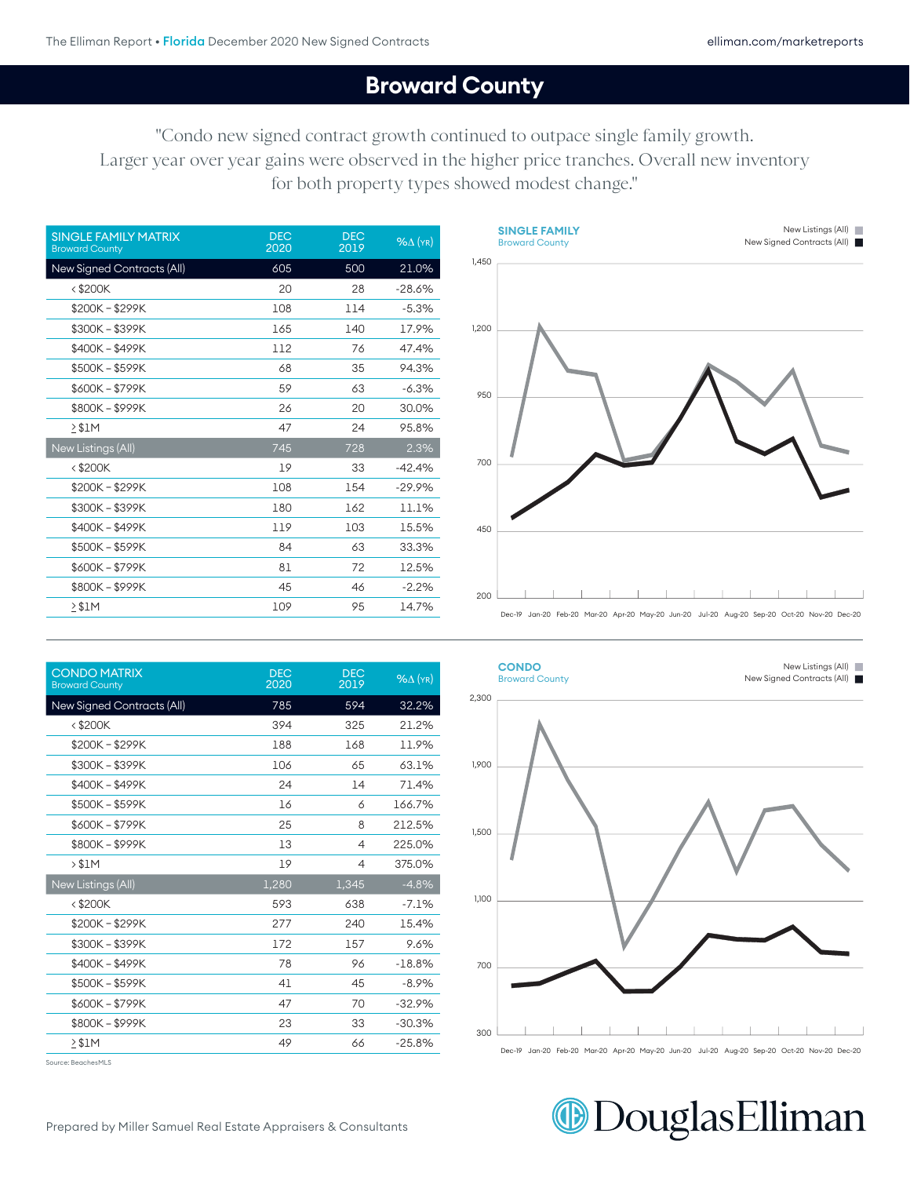### 400 **Broward County**

 $\Omega$  and to outpace single family growth "Condo new signed contract growth continued to outpace single family growth. Larger year over year gains were observed in the higher price tranches. Overall new inventory for both property types showed modest change."

| <b>DEC</b><br>2020 | <b>DEC</b><br>2019 | $%$ $\Delta$ (YR) |
|--------------------|--------------------|-------------------|
| 605                | 500                | 21.0%             |
| 20                 | 28                 | $-28.6%$          |
| 108                | 114                | $-5.3%$           |
| 165                | 140                | 17.9%             |
| 112                | 76                 | 47.4%             |
| 68                 | 35                 | 94.3%             |
| 59                 | 63                 | $-6.3%$           |
| 26                 | 20                 | 30.0%             |
| 47                 | 24                 | 95.8%             |
| 745                | 728                | 2.3%              |
| 19                 | 33                 | $-42.4%$          |
| 108                | 154                | $-29.9%$          |
| 180                | 162                | 11.1%             |
| 119                | 103                | 15.5%             |
| 84                 | 63                 | 33.3%             |
| 81                 | 72                 | 12.5%             |
| 45                 | 46                 | $-2.2%$           |
| 109                | 95                 | 14.7%             |
|                    |                    |                   |



| <b>CONDO MATRIX</b><br><b>Broward County</b> | <b>DEC</b><br>2020 | <b>DEC</b><br>2019 | $%$ $\Delta$ (YR) |
|----------------------------------------------|--------------------|--------------------|-------------------|
| <b>New Signed Contracts (All)</b>            | 785                | 594                | 32.2%             |
| <\$200K                                      | 394                | 325                | 21.2%             |
| \$200K - \$299K                              | 188                | 168                | 11.9%             |
| \$300K-\$399K                                | 106                | 65                 | 63.1%             |
| \$400K - \$499K                              | 24                 | 14                 | 71.4%             |
| \$500K - \$599K                              | 16                 | 6                  | 166.7%            |
| \$600K - \$799K                              | 25                 | 8                  | 212.5%            |
| \$800K - \$999K                              | 13                 | 4                  | 225.0%            |
| > \$1M                                       | 19                 | $\overline{4}$     | 375.0%            |
| New Listings (All)                           | 1,280              | 1,345              | $-4.8%$           |
| $<$ \$200 $K$                                | 593                | 638                | $-7.1%$           |
| \$200K - \$299K                              | 277                | 240                | 15.4%             |
| \$300K - \$399K                              | 172                | 157                | 9.6%              |
| \$400K - \$499K                              | 78                 | 96                 | $-18.8%$          |
| \$500K - \$599K                              | 41                 | 45                 | $-8.9%$           |
| \$600K - \$799K                              | 47                 | 70                 | $-32.9%$          |
| \$800K-\$999K                                | 23                 | 33                 | $-30.3%$          |
| $\geq$ \$1M                                  | 49                 | 66                 | $-25.8%$          |



Source: BeachesMLS

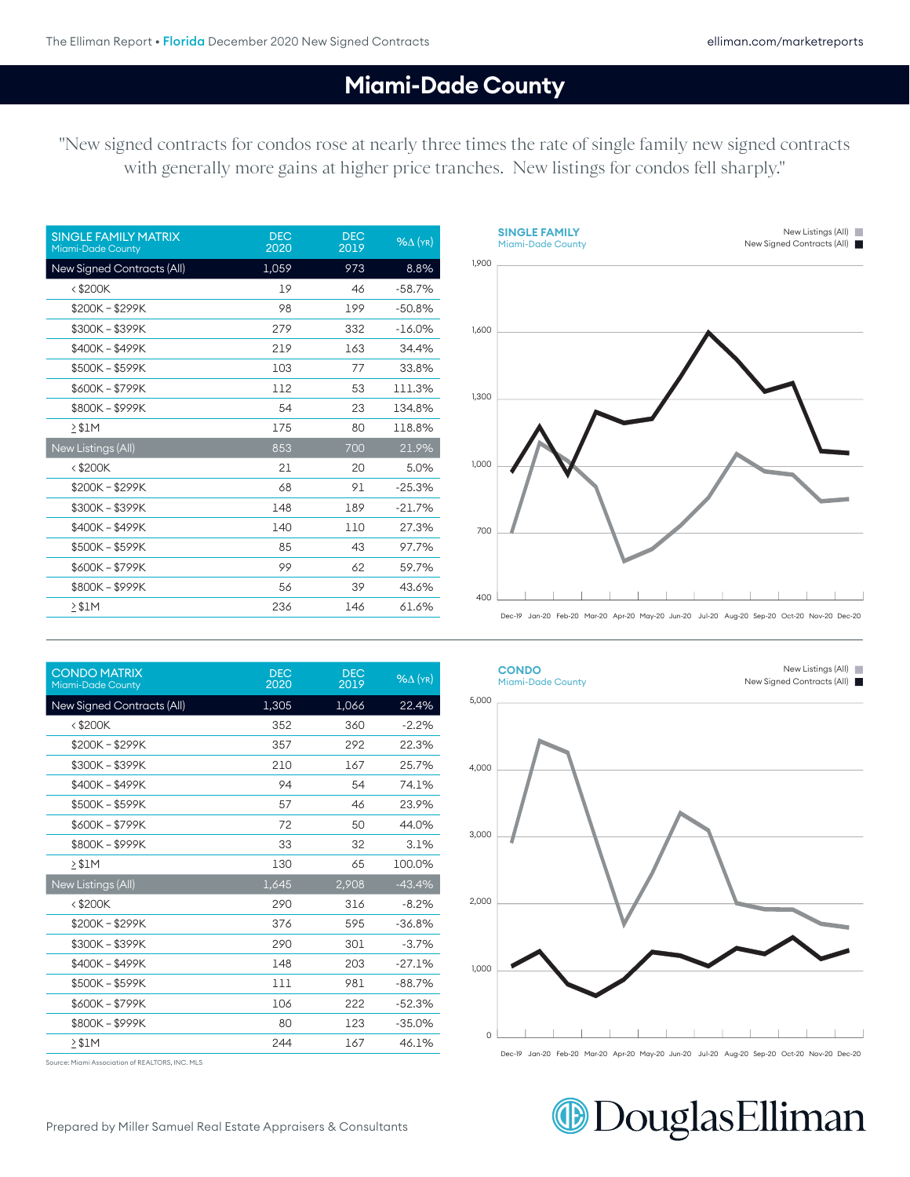New Listings (All)

New Signed Contracts (All)

#### **Miami-Dade County**

300

"New signed contracts for condos rose at nearly three times the rate of single family new signed contracts with generally more gains at higher price tranches. New listings for condos fell sharply."

| <b>SINGLE FAMILY MATRIX</b><br><b>Miami-Dade County</b> | <b>DEC</b><br>2020 | <b>DEC</b><br>2019 | $%$ $\Delta$ (YR) |
|---------------------------------------------------------|--------------------|--------------------|-------------------|
| New Signed Contracts (All)                              | 1,059              | 973                | 8.8%              |
| <\$200K                                                 | 19                 | 46                 | $-58.7%$          |
| \$200K-\$299K                                           | 98                 | 199                | $-50.8%$          |
| \$300K - \$399K                                         | 279                | 332                | $-16.0\%$         |
| \$400K - \$499K                                         | 219                | 163                | 34.4%             |
| \$500K - \$599K                                         | 103                | 77                 | 33.8%             |
| \$600K - \$799K                                         | 112                | 53                 | 111.3%            |
| \$800K-\$999K                                           | 54                 | 23                 | 134.8%            |
| $\geq$ \$1M                                             | 175                | 80                 | 118.8%            |
| New Listings (All)                                      | 853                | 700                | 21.9%             |
| <\$200K                                                 | 21                 | 20                 | 5.0%              |
| \$200K-\$299K                                           | 68                 | 91                 | $-25.3%$          |
| \$300K - \$399K                                         | 148                | 189                | $-21.7%$          |
| \$400K - \$499K                                         | 140                | 110                | 27.3%             |
| \$500K - \$599K                                         | 85                 | 43                 | 97.7%             |
| \$600K - \$799K                                         | 99                 | 62                 | 59.7%             |
| \$800K-\$999K                                           | 56                 | 39                 | 43.6%             |
| > \$1M                                                  | 236                | 146                | 61.6%             |



| <b>CONDO MATRIX</b><br>Miami-Dade County | <b>DEC</b><br>2020 | <b>DEC</b><br>2019 | $%$ $\Delta$ (YR) |
|------------------------------------------|--------------------|--------------------|-------------------|
| New Signed Contracts (All)               | 1,305              | 1,066              | 22.4%             |
| $<$ \$200 $K$                            | 352                | 360                | $-2.2%$           |
| \$200K-\$299K                            | 357                | 292                | 22.3%             |
| \$300K - \$399K                          | 210                | 167                | 25.7%             |
| \$400K-\$499K                            | 94                 | 54                 | 74.1%             |
| \$500K - \$599K                          | 57                 | 46                 | 23.9%             |
| \$600K - \$799K                          | 72                 | 50                 | 44.0%             |
| \$800K - \$999K                          | 33                 | 32                 | 3.1%              |
| $2$ \$1M                                 | 130                | 65                 | 100.0%            |
| New Listings (All)                       | 1,645              | 2,908              | $-43.4%$          |
| $<$ \$200 $K$                            | 290                | 316                | $-8.2%$           |
| \$200K - \$299K                          | 376                | 595                | $-36.8%$          |
| \$300K-\$399K                            | 290                | 301                | $-3.7%$           |
| \$400K - \$499K                          | 148                | 203                | $-27.1%$          |
| \$500K - \$599K                          | 111                | 981                | $-88.7%$          |
| \$600K-\$799K                            | 106                | 222                | $-52.3%$          |
| \$800K-\$999K                            | 80                 | 123                | $-35.0%$          |
| 2 S 1 M                                  | 244                | 167                | 46.1%             |

4,000 4,000 3,000 2,000 1,000  $\Omega$  $\blacksquare$ - 1

**CONDO** Miami-Dade County **CONDO**

Miami-Dade County

5,000

Source: Miami Association of REALTORS, INC. MLS

## **DouglasElliman**

Dec-19 Jan-20 Feb-20 Mar-20 Apr-20 May-20 Jun-20 Jul-20 Aug-20 Sep-20 Oct-20 Nov-20 Dec-20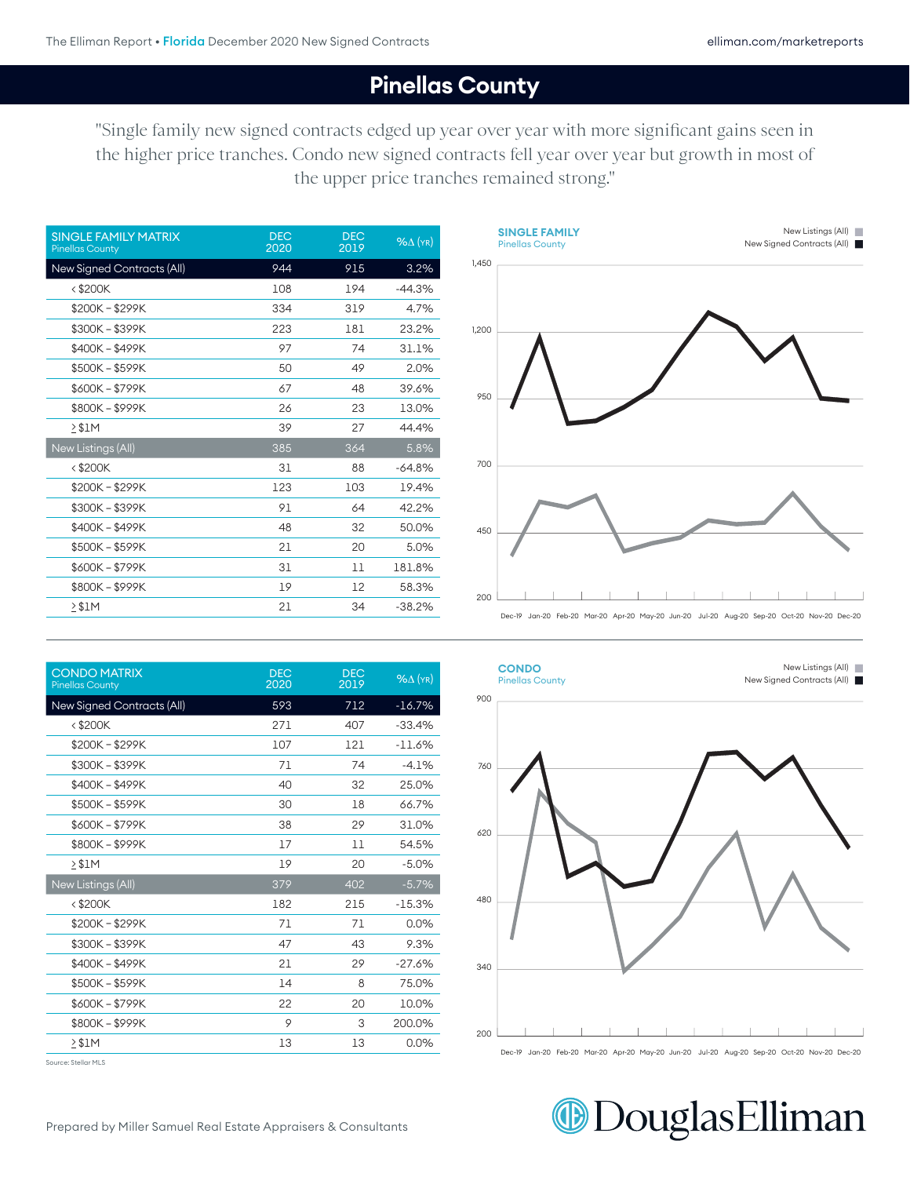New Listings (All)

#### **Pinellas County** 0 0

"Single family new signed contracts edged up year over year with more significant gains seen in the higher price tranches. Condo new signed contracts fell year over year but growth in most of the upper price tranches remained strong."

**SINGLE FAMILY**

| <b>DEC</b><br>2020 | <b>DEC</b><br>2019 | $%$ $\Delta$ (YR) |
|--------------------|--------------------|-------------------|
| 944                | 915                | 3.2%              |
| 108                | 194                | $-44.3%$          |
| 334                | 319                | 4.7%              |
| 223                | 181                | 23.2%             |
| 97                 | 74                 | 31.1%             |
| 50                 | 49                 | 2.0%              |
| 67                 | 48                 | 39.6%             |
| 26                 | 23                 | 13.0%             |
| 39                 | 27                 | 44.4%             |
| 385                | 364                | 5.8%              |
| 31                 | 88                 | $-64.8%$          |
| 123                | 103                | 19.4%             |
| 91                 | 64                 | 42.2%             |
| 48                 | 32                 | 50.0%             |
| 21                 | 20                 | 5.0%              |
| 31                 | 11                 | 181.8%            |
| 19                 | 12                 | 58.3%             |
| 21                 | 34                 | $-38.2%$          |
|                    |                    |                   |

| <b>Pinellas County</b><br>1,450 | New Signed Contracts (All) |
|---------------------------------|----------------------------|
| 1,200                           |                            |
| 950                             |                            |
| 700                             |                            |
| 450                             |                            |
| 200                             |                            |

 $\mathcal{D}=\mathcal{D}=\mathcal{D}=\mathcal{D}=\mathcal{D}=\mathcal{D}=\mathcal{D}=\mathcal{D}=\mathcal{D}=\mathcal{D}=\mathcal{D}=\mathcal{D}=\mathcal{D}=\mathcal{D}=\mathcal{D}=\mathcal{D}=\mathcal{D}=\mathcal{D}=\mathcal{D}=\mathcal{D}=\mathcal{D}=\mathcal{D}=\mathcal{D}=\mathcal{D}=\mathcal{D}=\mathcal{D}=\mathcal{D}=\mathcal{D}=\mathcal{D}=\mathcal{D}=\mathcal{D}=\mathcal{D}=\mathcal{D}=\mathcal{D}=\mathcal{D}=\mathcal{D}=\mathcal{$ 

|  |  |  | Dec-IY Jan-ZU Feb-ZU Mar-ZU Abr-ZU Mav-ZU Jun-ZU Jul-ZU Aud-ZU Seb-ZU Oct-ZU Nov-ZU Dec-ZU |  |  |  |  |
|--|--|--|--------------------------------------------------------------------------------------------|--|--|--|--|
|  |  |  |                                                                                            |  |  |  |  |
|  |  |  |                                                                                            |  |  |  |  |

| <b>CONDO MATRIX</b><br><b>Pinellas County</b> | <b>DEC</b><br>2020 | <b>DEC</b><br>2019 | $%$ $\Delta$ (YR) |
|-----------------------------------------------|--------------------|--------------------|-------------------|
| New Signed Contracts (All)                    | 593                | 712                | $-16.7%$          |
| $<$ \$200 $K$                                 | 271                | 407                | $-33.4%$          |
| $$200K - $299K$                               | 107                | 121                | $-11.6%$          |
| \$300K - \$399K                               | 71                 | 74                 | $-4.1%$           |
| \$400K - \$499K                               | 40                 | 32                 | 25.0%             |
| \$500K - \$599K                               | 30                 | 18                 | 66.7%             |
| \$600K - \$799K                               | 38                 | 29                 | 31.0%             |
| \$800K - \$999K                               | 17                 | 11                 | 54.5%             |
| $2$ \$1M                                      | 19                 | 20                 | $-5.0%$           |
| New Listings (All)                            | 379                | 402                | $-5.7%$           |
| $<$ \$200 $K$                                 | 182                | 215                | $-15.3%$          |
| $$200K - $299K$                               | 71                 | 71                 | 0.0%              |
| \$300K - \$399K                               | 47                 | 43                 | 9.3%              |
| \$400K - \$499K                               | 21                 | 29                 | $-27.6%$          |
| \$500K-\$599K                                 | 14                 | 8                  | 75.0%             |
| \$600K - \$799K                               | 22                 | 20                 | 10.0%             |
| \$800K-\$999K                                 | 9                  | 3                  | 200.0%            |
| $\geq$ \$1M                                   | 13                 | 13                 | 0.0%              |

Source: Stellar MLS



**DouglasElliman**